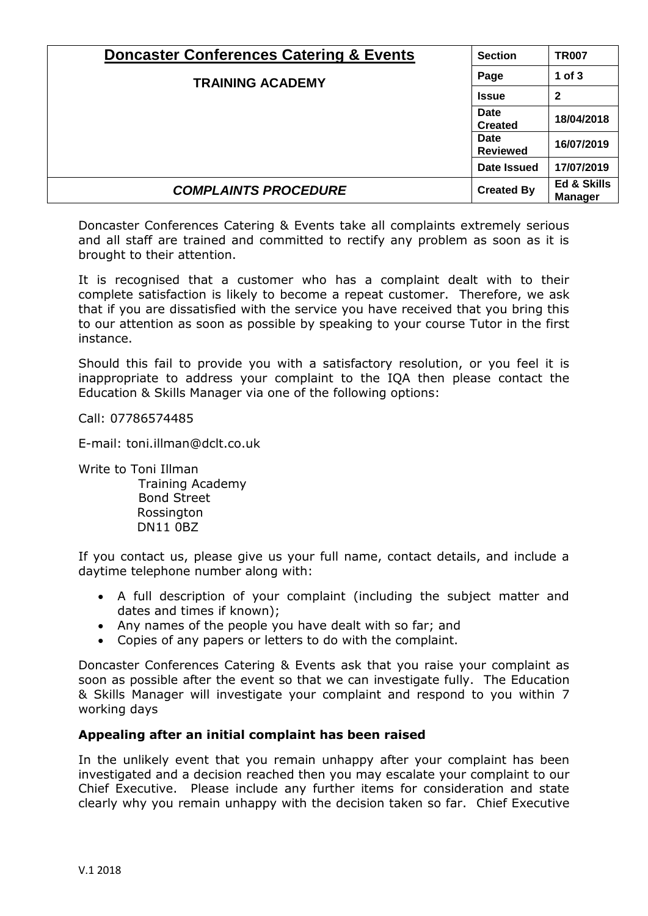| <b>Doncaster Conferences Catering &amp; Events</b> | <b>Section</b>                | <b>TR007</b>                  |
|----------------------------------------------------|-------------------------------|-------------------------------|
| <b>TRAINING ACADEMY</b>                            | Page                          | 1 of $3$                      |
|                                                    | <b>Issue</b>                  | 2                             |
|                                                    | <b>Date</b><br><b>Created</b> | 18/04/2018                    |
|                                                    | Date<br><b>Reviewed</b>       | 16/07/2019                    |
|                                                    | Date Issued                   | 17/07/2019                    |
| <b>COMPLAINTS PROCEDURE</b>                        | <b>Created By</b>             | Ed & Skills<br><b>Manager</b> |

Doncaster Conferences Catering & Events take all complaints extremely serious and all staff are trained and committed to rectify any problem as soon as it is brought to their attention.

It is recognised that a customer who has a complaint dealt with to their complete satisfaction is likely to become a repeat customer. Therefore, we ask that if you are dissatisfied with the service you have received that you bring this to our attention as soon as possible by speaking to your course Tutor in the first instance.

Should this fail to provide you with a satisfactory resolution, or you feel it is inappropriate to address your complaint to the IQA then please contact the Education & Skills Manager via one of the following options:

Call: 07786574485

E-mail: toni.illman@dclt.co.uk

Write to Toni Illman

 Training Academy Bond Street **Rossington** DN11 0BZ

If you contact us, please give us your full name, contact details, and include a daytime telephone number along with:

- A full description of your complaint (including the subject matter and dates and times if known);
- Any names of the people you have dealt with so far; and
- Copies of any papers or letters to do with the complaint.

Doncaster Conferences Catering & Events ask that you raise your complaint as soon as possible after the event so that we can investigate fully. The Education & Skills Manager will investigate your complaint and respond to you within 7 working days

## **Appealing after an initial complaint has been raised**

In the unlikely event that you remain unhappy after your complaint has been investigated and a decision reached then you may escalate your complaint to our Chief Executive. Please include any further items for consideration and state clearly why you remain unhappy with the decision taken so far. Chief Executive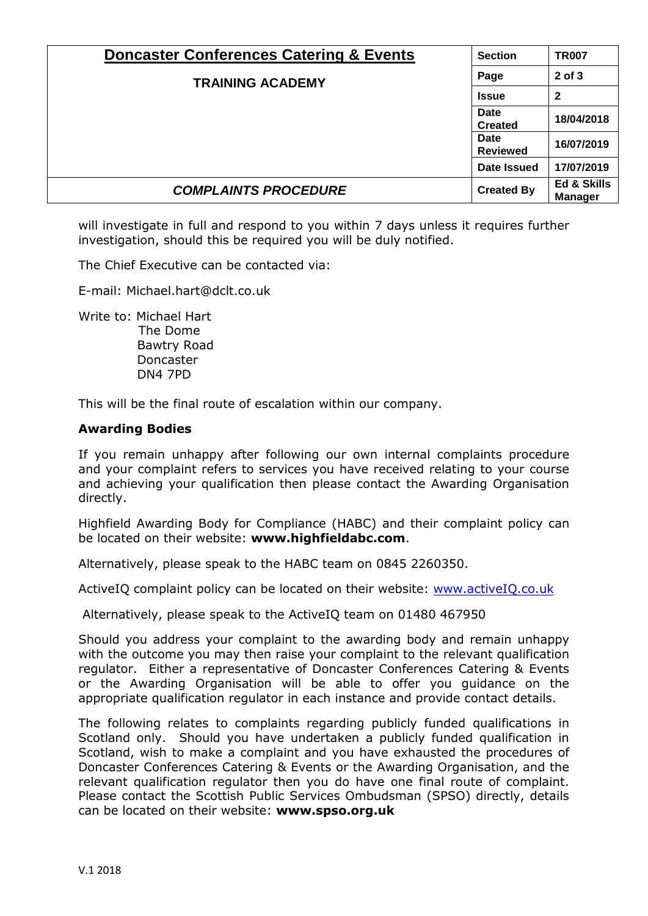| <b>Doncaster Conferences Catering &amp; Events</b> | <b>Section</b>                 | <b>TR007</b>                  |
|----------------------------------------------------|--------------------------------|-------------------------------|
| <b>TRAINING ACADEMY</b>                            | Page                           | $2$ of $3$                    |
|                                                    | <b>Issue</b>                   | 2                             |
|                                                    | Date<br><b>Created</b>         | 18/04/2018                    |
|                                                    | <b>Date</b><br><b>Reviewed</b> | 16/07/2019                    |
|                                                    | Date Issued                    | 17/07/2019                    |
| <b>COMPLAINTS PROCEDURE</b>                        | <b>Created By</b>              | Ed & Skills<br><b>Manager</b> |

will investigate in full and respond to you within 7 days unless it requires further investigation, should this be required you will be duly notified.

The Chief Executive can be contacted via:

E-mail: Michael.hart@dclt.co.uk

Write to: Michael Hart

 The Dome Bawtry Road Doncaster DN4 7PD

This will be the final route of escalation within our company.

## **Awarding Bodies**

If you remain unhappy after following our own internal complaints procedure and your complaint refers to services you have received relating to your course and achieving your qualification then please contact the Awarding Organisation directly.

Highfield Awarding Body for Compliance (HABC) and their complaint policy can be located on their website: **www.highfieldabc.com**.

Alternatively, please speak to the HABC team on 0845 2260350.

ActiveIQ complaint policy can be located on their website: [www.activeIQ.co.uk](http://www.activeiq.co.uk/)

Alternatively, please speak to the ActiveIQ team on 01480 467950

Should you address your complaint to the awarding body and remain unhappy with the outcome you may then raise your complaint to the relevant qualification regulator. Either a representative of Doncaster Conferences Catering & Events or the Awarding Organisation will be able to offer you guidance on the appropriate qualification regulator in each instance and provide contact details.

The following relates to complaints regarding publicly funded qualifications in Scotland only. Should you have undertaken a publicly funded qualification in Scotland, wish to make a complaint and you have exhausted the procedures of Doncaster Conferences Catering & Events or the Awarding Organisation, and the relevant qualification regulator then you do have one final route of complaint. Please contact the Scottish Public Services Ombudsman (SPSO) directly, details can be located on their website: **www.spso.org.uk**